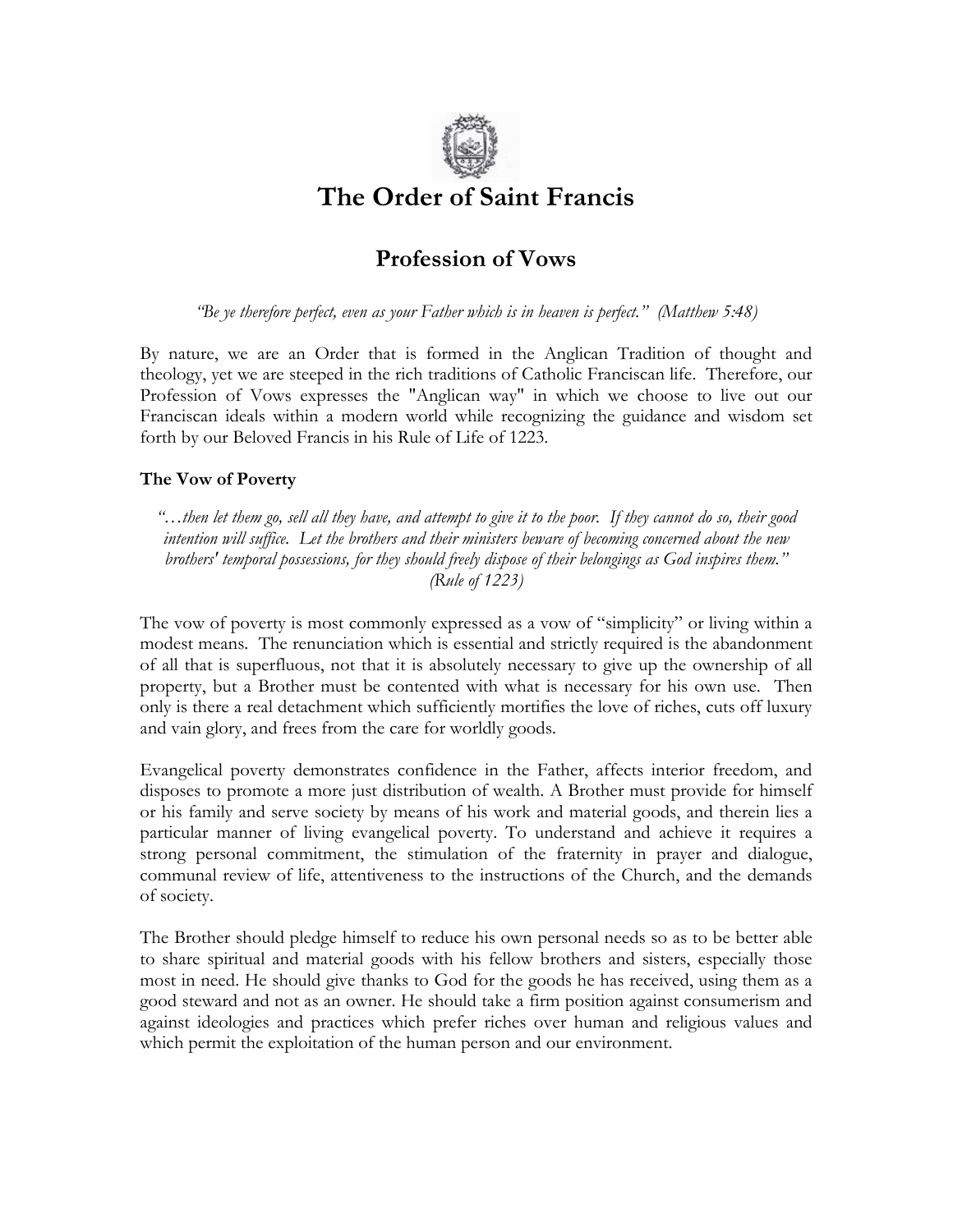

# **The Order of Saint Francis**

## **Profession of Vows**

*"Be ye therefore perfect, even as your Father which is in heaven is perfect." (Matthew 5:48)*

By nature, we are an Order that is formed in the Anglican Tradition of thought and theology, yet we are steeped in the rich traditions of Catholic Franciscan life. Therefore, our Profession of Vows expresses the "Anglican way" in which we choose to live out our Franciscan ideals within a modern world while recognizing the guidance and wisdom set forth by our Beloved Francis in his Rule of Life of 1223.

#### **The Vow of Poverty**

*"…then let them go, sell all they have, and attempt to give it to the poor. If they cannot do so, their good intention will suffice. Let the brothers and their ministers beware of becoming concerned about the new brothers' temporal possessions, for they should freely dispose of their belongings as God inspires them." (Rule of 1223)*

The vow of poverty is most commonly expressed as a vow of "simplicity" or living within a modest means. The renunciation which is essential and strictly required is the abandonment of all that is superfluous, not that it is absolutely necessary to give up the ownership of all property, but a Brother must be contented with what is necessary for his own use. Then only is there a real detachment which sufficiently mortifies the love of riches, cuts off luxury and vain glory, and frees from the care for worldly goods.

Evangelical poverty demonstrates confidence in the Father, affects interior freedom, and disposes to promote a more just distribution of wealth. A Brother must provide for himself or his family and serve society by means of his work and material goods, and therein lies a particular manner of living evangelical poverty. To understand and achieve it requires a strong personal commitment, the stimulation of the fraternity in prayer and dialogue, communal review of life, attentiveness to the instructions of the Church, and the demands of society.

The Brother should pledge himself to reduce his own personal needs so as to be better able to share spiritual and material goods with his fellow brothers and sisters, especially those most in need. He should give thanks to God for the goods he has received, using them as a good steward and not as an owner. He should take a firm position against consumerism and against ideologies and practices which prefer riches over human and religious values and which permit the exploitation of the human person and our environment.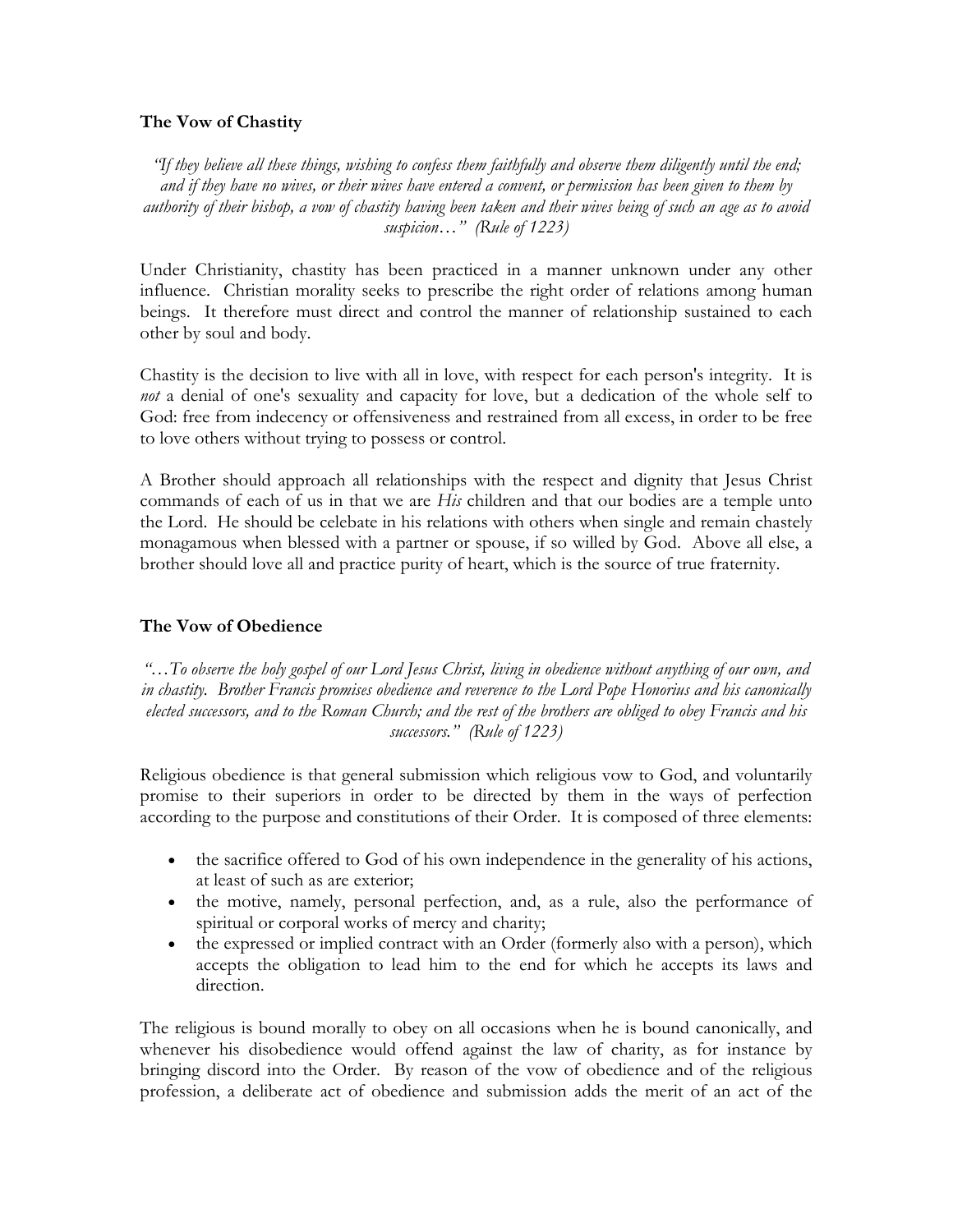#### **The Vow of Chastity**

*"If they believe all these things, wishing to confess them faithfully and observe them diligently until the end; and if they have no wives, or their wives have entered a convent, or permission has been given to them by authority of their bishop, a vow of chastity having been taken and their wives being of such an age as to avoid suspicion…" (Rule of 1223)*

Under Christianity, chastity has been practiced in a manner unknown under any other influence. Christian morality seeks to prescribe the right order of relations among human beings. It therefore must direct and control the manner of relationship sustained to each other by soul and body.

Chastity is the decision to live with all in love, with respect for each person's integrity. It is *not* a denial of one's sexuality and capacity for love, but a dedication of the whole self to God: free from indecency or offensiveness and restrained from all excess, in order to be free to love others without trying to possess or control.

A Brother should approach all relationships with the respect and dignity that Jesus Christ commands of each of us in that we are *His* children and that our bodies are a temple unto the Lord. He should be celebate in his relations with others when single and remain chastely monagamous when blessed with a partner or spouse, if so willed by God. Above all else, a brother should love all and practice purity of heart, which is the source of true fraternity.

### **The Vow of Obedience**

*"…To observe the holy gospel of our Lord Jesus Christ, living in obedience without anything of our own, and in chastity. Brother Francis promises obedience and reverence to the Lord Pope Honorius and his canonically elected successors, and to the Roman Church; and the rest of the brothers are obliged to obey Francis and his successors." (Rule of 1223)*

Religious obedience is that general submission which religious vow to God, and voluntarily promise to their superiors in order to be directed by them in the ways of perfection according to the purpose and constitutions of their Order. It is composed of three elements:

- the sacrifice offered to God of his own independence in the generality of his actions, at least of such as are exterior;
- the motive, namely, personal perfection, and, as a rule, also the performance of spiritual or corporal works of mercy and charity;
- the expressed or implied contract with an Order (formerly also with a person), which accepts the obligation to lead him to the end for which he accepts its laws and direction.

The religious is bound morally to obey on all occasions when he is bound canonically, and whenever his disobedience would offend against the law of charity, as for instance by bringing discord into the Order. By reason of the vow of obedience and of the religious profession, a deliberate act of obedience and submission adds the merit of an act of the